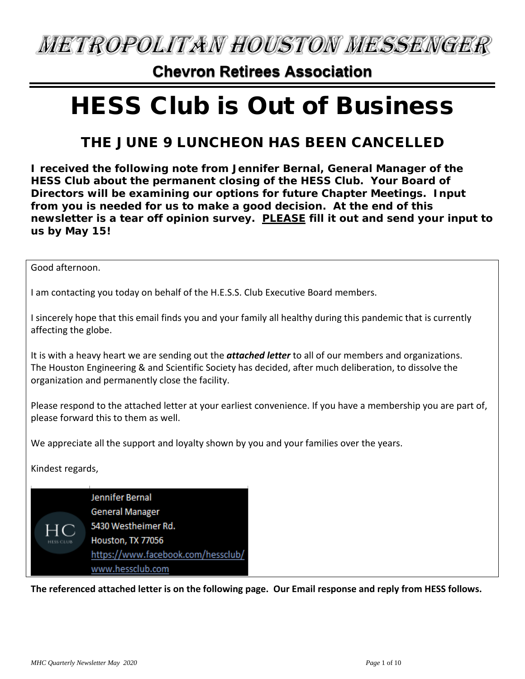**METROPOLITAN HOUSTON MESSENGER** 

### **Chevron Retirees Association**

# HESS Club is Out of Business

### THE JUNE 9 LUNCHEON HAS BEEN CANCELLED

**I received the following note from Jennifer Bernal, General Manager of the HESS Club about the permanent closing of the HESS Club. Your Board of Directors will be examining our options for future Chapter Meetings. Input from you is needed for us to make a good decision. At the end of this newsletter is a tear off opinion survey. PLEASE fill it out and send your input to us by May 15!**

Good afternoon.

I am contacting you today on behalf of the H.E.S.S. Club Executive Board members.

I sincerely hope that this email finds you and your family all healthy during this pandemic that is currently affecting the globe.

It is with a heavy heart we are sending out the *attached letter* to all of our members and organizations. The Houston Engineering & and Scientific Society has decided, after much deliberation, to dissolve the organization and permanently close the facility.

Please respond to the attached letter at your earliest convenience. If you have a membership you are part of, please forward this to them as well.

We appreciate all the support and loyalty shown by you and your families over the years.

Kindest regards,



**The referenced attached letter is on the following page. Our Email response and reply from HESS follows.**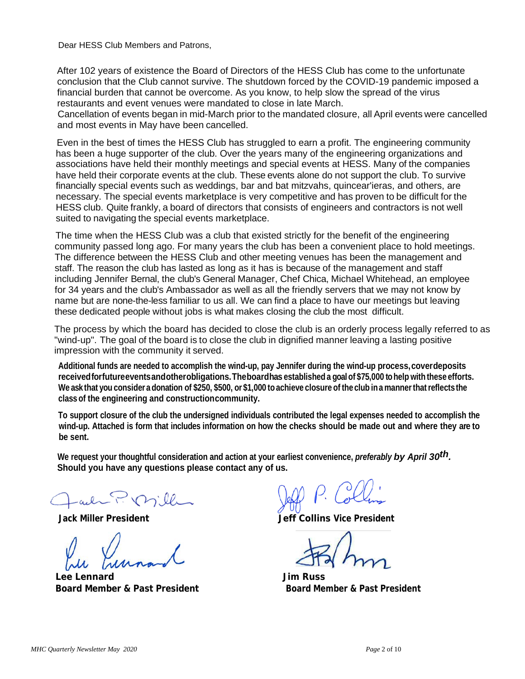Dear HESS Club Members and Patrons,

After 102 years of existence the Board of Directors of the HESS Club has come to the unfortunate conclusion that the Club cannot survive. The shutdown forced by the COVID-19 pandemic imposed a financial burden that cannot be overcome. As you know, to help slow the spread of the virus restaurants and event venues were mandated to close in late March.

Cancellation of events began in mid-March prior to the mandated closure, all April events were cancelled and most events in May have been cancelled.

Even in the best of times the HESS Club has struggled to earn a profit. The engineering community has been a huge supporter of the club. Over the years many of the engineering organizations and associations have held their monthly meetings and special events at HESS. Many of the companies have held their corporate events at the club. These events alone do not support the club. To survive financially special events such as weddings, bar and bat mitzvahs, quincear'ieras, and others, are necessary. The special events marketplace is very competitive and has proven to be difficult for the HESS club. Quite frankly, a board of directors that consists of engineers and contractors is not well suited to navigating the special events marketplace.

The time when the HESS Club was a club that existed strictly for the benefit of the engineering community passed long ago. For many years the club has been a convenient place to hold meetings. The difference between the HESS Club and other meeting venues has been the management and staff. The reason the club has lasted as long as it has is because of the management and staff including Jennifer Bernal, the club's General Manager, Chef Chica, Michael Whitehead, an employee for 34 years and the club's Ambassador as well as all the friendly servers that we may not know by name but are none-the-less familiar to us all. We can find a place to have our meetings but leaving these dedicated people without jobs is what makes closing the club the most difficult.

The process by which the board has decided to close the club is an orderly process legally referred to as "wind-up". The goal of the board is to close the club in dignified manner leaving a lasting positive impression with the community it served.

**Additional funds are needed to accomplish the wind-up, pay Jennifer during the wind-up process,coverdeposits receivedforfutureeventsandotherobligations.Theboardhas established a goalof \$75,000 tohelp with these efforts.** We ask that you consider a donation of \$250, \$500, or \$1,000 to achieve closure of the club in a manner that reflects the **class of the engineering and constructioncommunity.**

**To support closure of the club the undersigned individuals contributed the legal expenses needed to accomplish the wind-up. Attached is form that includes information on how the checks should be made out and where they are to be sent.**

**We request your thoughtful consideration and action at your earliest convenience,** *preferably by April 30th.*  **Should you have any questions please contact any of us.**

all P. Mill 

**Lee Lennard Jim Russ Board Member & Past President Communisty Constrainer Board Member & Past President** 

**Jack Miller President Jeff Collins Vice President**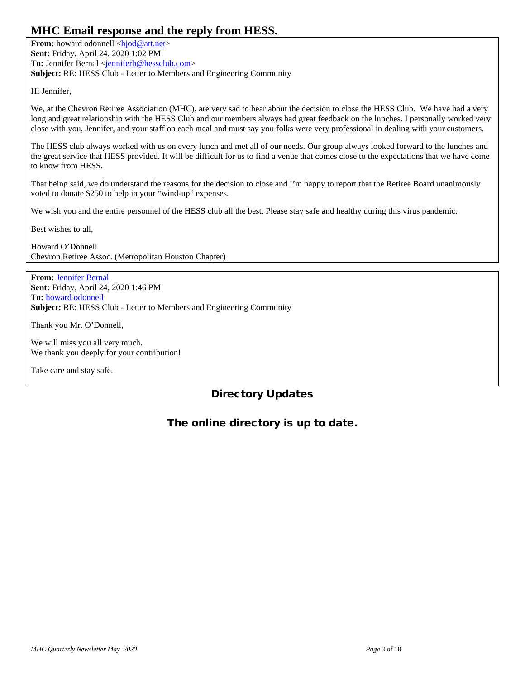### **MHC Email response and the reply from HESS.**

**From:** howard odonnell [<hjod@att.net>](mailto:hjod@att.net) **Sent:** Friday, April 24, 2020 1:02 PM To: Jennifer Bernal [<jenniferb@hessclub.com>](mailto:jenniferb@hessclub.com) **Subject:** RE: HESS Club - Letter to Members and Engineering Community

Hi Jennifer,

We, at the Chevron Retiree Association (MHC), are very sad to hear about the decision to close the HESS Club. We have had a very long and great relationship with the HESS Club and our members always had great feedback on the lunches. I personally worked very close with you, Jennifer, and your staff on each meal and must say you folks were very professional in dealing with your customers.

The HESS club always worked with us on every lunch and met all of our needs. Our group always looked forward to the lunches and the great service that HESS provided. It will be difficult for us to find a venue that comes close to the expectations that we have come to know from HESS.

That being said, we do understand the reasons for the decision to close and I'm happy to report that the Retiree Board unanimously voted to donate \$250 to help in your "wind-up" expenses.

We wish you and the entire personnel of the HESS club all the best. Please stay safe and healthy during this virus pandemic.

Best wishes to all,

Howard O'Donnell Chevron Retiree Assoc. (Metropolitan Houston Chapter)

**From:** [Jennifer Bernal](mailto:jenniferb@hessclub.com) **Sent:** Friday, April 24, 2020 1:46 PM **To:** [howard odonnell](mailto:hjod@att.net) **Subject:** RE: HESS Club - Letter to Members and Engineering Community

Thank you Mr. O'Donnell,

We will miss you all very much. We thank you deeply for your contribution!

Take care and stay safe.

### Directory Updates

### The online directory is up to date.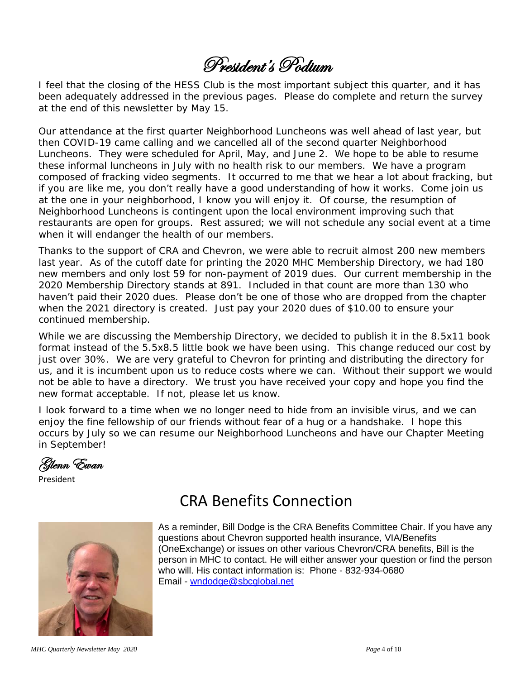# President's Podium

I feel that the closing of the HESS Club is the most important subject this quarter, and it has been adequately addressed in the previous pages. Please do complete and return the survey at the end of this newsletter by May 15.

Our attendance at the first quarter Neighborhood Luncheons was well ahead of last year, but then COVID-19 came calling and we cancelled all of the second quarter Neighborhood Luncheons. They were scheduled for April, May, and June 2. We hope to be able to resume these informal luncheons in July with no health risk to our members. We have a program composed of fracking video segments. It occurred to me that we hear a lot about fracking, but if you are like me, you don't really have a good understanding of how it works. Come join us at the one in your neighborhood, I know you will enjoy it. Of course, the resumption of Neighborhood Luncheons is contingent upon the local environment improving such that restaurants are open for groups. Rest assured; we will not schedule any social event at a time when it will endanger the health of our members.

Thanks to the support of CRA and Chevron, we were able to recruit almost 200 new members last year. As of the cutoff date for printing the 2020 MHC Membership Directory, we had 180 new members and only lost 59 for non-payment of 2019 dues. Our current membership in the 2020 Membership Directory stands at 891. Included in that count are more than 130 who haven't paid their 2020 dues. Please don't be one of those who are dropped from the chapter when the 2021 directory is created. Just pay your 2020 dues of \$10.00 to ensure your continued membership.

While we are discussing the Membership Directory, we decided to publish it in the 8.5x11 book format instead of the 5.5x8.5 little book we have been using. This change reduced our cost by just over 30%. We are very grateful to Chevron for printing and distributing the directory for us, and it is incumbent upon us to reduce costs where we can. Without their support we would not be able to have a directory. We trust you have received your copy and hope you find the new format acceptable. If not, please let us know.

I look forward to a time when we no longer need to hide from an invisible virus, and we can enjoy the fine fellowship of our friends without fear of a hug or a handshake. I hope this occurs by July so we can resume our Neighborhood Luncheons and have our Chapter Meeting in September!

Glenn Ewan

President



## CRA Benefits Connection

As a reminder, Bill Dodge is the CRA Benefits Committee Chair. If you have any questions about Chevron supported health insurance, VIA/Benefits (OneExchange) or issues on other various Chevron/CRA benefits, Bill is the person in MHC to contact. He will either answer your question or find the person who will. His contact information is: Phone - 832-934-0680 Email - [wndodge@sbcglobal.net](mailto:wndodge@sbcglobal.net)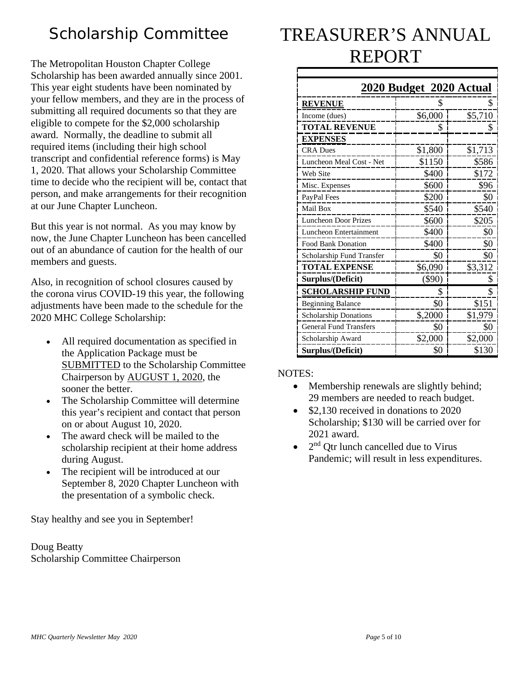## Scholarship Committee

The Metropolitan Houston Chapter College Scholarship has been awarded annually since 2001. This year eight students have been nominated by your fellow members, and they are in the process of submitting all required documents so that they are eligible to compete for the \$2,000 scholarship award. Normally, the deadline to submit all required items (including their high school transcript and confidential reference forms) is May 1, 2020. That allows your Scholarship Committee time to decide who the recipient will be, contact that person, and make arrangements for their recognition at our June Chapter Luncheon.

But this year is not normal. As you may know by now, the June Chapter Luncheon has been cancelled out of an abundance of caution for the health of our members and guests.

Also, in recognition of school closures caused by the corona virus COVID-19 this year, the following adjustments have been made to the schedule for the 2020 MHC College Scholarship:

- All required documentation as specified in the Application Package must be SUBMITTED to the Scholarship Committee Chairperson by AUGUST 1, 2020, the sooner the better.
- The Scholarship Committee will determine this year's recipient and contact that person on or about August 10, 2020.
- The award check will be mailed to the scholarship recipient at their home address during August.
- The recipient will be introduced at our September 8, 2020 Chapter Luncheon with the presentation of a symbolic check.

Stay healthy and see you in September!

Doug Beatty Scholarship Committee Chairperson

# TREASURER'S ANNUAL REPORT

|                               | 2020 Budget 2020 Actual |         |
|-------------------------------|-------------------------|---------|
| <b>REVENUE</b>                | S                       |         |
| Income (dues)                 | \$6,000                 | \$5,710 |
| <b>TOTAL REVENUE</b>          | \$                      | S       |
| <b>EXPENSES</b>               |                         |         |
| <b>CRA</b> Dues               | \$1,800                 | \$1,713 |
| Luncheon Meal Cost - Net      | \$1150                  | \$586   |
| Web Site                      | \$400                   | \$172   |
| Misc. Expenses                | \$600                   | \$96    |
| PayPal Fees                   | \$200                   | \$0     |
| Mail Box                      | \$540                   | \$540   |
| <b>Luncheon Door Prizes</b>   | \$600                   | \$205   |
| Luncheon Entertainment        | \$400                   | \$0     |
| <b>Food Bank Donation</b>     | \$400                   | \$0     |
| Scholarship Fund Transfer     | \$0                     | \$0     |
| <b>TOTAL EXPENSE</b>          | \$6,090                 | \$3,312 |
| Surplus/(Deficit)             | $(\$90)$                | S       |
| <b>SCHOLARSHIP FUND</b>       | \$                      | \$      |
| <b>Beginning Balance</b>      | \$0                     | \$151   |
| <b>Scholarship Donations</b>  | \$,2000                 | \$1,979 |
| <b>General Fund Transfers</b> | \$0                     | \$0     |
| Scholarship Award             | \$2,000                 | \$2,000 |
| Surplus/(Deficit)             | \$0                     | \$130   |

### NOTES:

- Membership renewals are slightly behind; 29 members are needed to reach budget.
- \$2,130 received in donations to 2020 Scholarship; \$130 will be carried over for 2021 award.
- $\bullet$  2<sup>nd</sup> Qtr lunch cancelled due to Virus Pandemic; will result in less expenditures.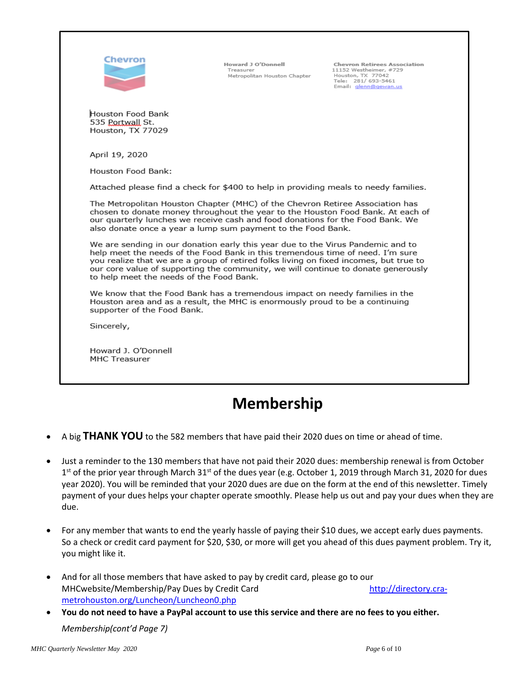| Chevron                                                                                                                                                                                                                                                                                                                                                                                     | Howard J O'Donnell<br>Treasurer<br>Metropolitan Houston Chapter | <b>Chevron Retirees Association</b><br>11152 Westheimer, #729<br>Houston, TX 77042<br>Tele: 281/693-5461<br>Email: glenn@gewan.us |  |  |
|---------------------------------------------------------------------------------------------------------------------------------------------------------------------------------------------------------------------------------------------------------------------------------------------------------------------------------------------------------------------------------------------|-----------------------------------------------------------------|-----------------------------------------------------------------------------------------------------------------------------------|--|--|
| Houston Food Bank<br>535 Portwall St.<br>Houston, TX 77029                                                                                                                                                                                                                                                                                                                                  |                                                                 |                                                                                                                                   |  |  |
| April 19, 2020                                                                                                                                                                                                                                                                                                                                                                              |                                                                 |                                                                                                                                   |  |  |
| Houston Food Bank:                                                                                                                                                                                                                                                                                                                                                                          |                                                                 |                                                                                                                                   |  |  |
| Attached please find a check for \$400 to help in providing meals to needy families.                                                                                                                                                                                                                                                                                                        |                                                                 |                                                                                                                                   |  |  |
| The Metropolitan Houston Chapter (MHC) of the Chevron Retiree Association has<br>chosen to donate money throughout the year to the Houston Food Bank. At each of<br>our quarterly lunches we receive cash and food donations for the Food Bank. We<br>also donate once a year a lump sum payment to the Food Bank.                                                                          |                                                                 |                                                                                                                                   |  |  |
| We are sending in our donation early this year due to the Virus Pandemic and to<br>help meet the needs of the Food Bank in this tremendous time of need. I'm sure<br>you realize that we are a group of retired folks living on fixed incomes, but true to<br>our core value of supporting the community, we will continue to donate generously<br>to help meet the needs of the Food Bank. |                                                                 |                                                                                                                                   |  |  |
| We know that the Food Bank has a tremendous impact on needy families in the<br>Houston area and as a result, the MHC is enormously proud to be a continuing<br>supporter of the Food Bank.                                                                                                                                                                                                  |                                                                 |                                                                                                                                   |  |  |
| Sincerely,                                                                                                                                                                                                                                                                                                                                                                                  |                                                                 |                                                                                                                                   |  |  |
| Howard J. O'Donnell<br><b>MHC Treasurer</b>                                                                                                                                                                                                                                                                                                                                                 |                                                                 |                                                                                                                                   |  |  |

## **Membership**

- A big **THANK YOU** to the 582 members that have paid their 2020 dues on time or ahead of time.
- Just a reminder to the 130 members that have not paid their 2020 dues: membership renewal is from October  $1<sup>st</sup>$  of the prior year through March 31<sup>st</sup> of the dues year (e.g. October 1, 2019 through March 31, 2020 for dues year 2020). You will be reminded that your 2020 dues are due on the form at the end of this newsletter. Timely payment of your dues helps your chapter operate smoothly. Please help us out and pay your dues when they are due.
- For any member that wants to end the yearly hassle of paying their \$10 dues, we accept early dues payments. So a check or credit card payment for \$20, \$30, or more will get you ahead of this dues payment problem. Try it, you might like it.
- And for all those members that have asked to pay by credit card, please go to our MHCwebsite/Membership/Pay Dues by Credit Card [http://directory.cra](http://directory.cra-metrohouston.org/Luncheon/Luncheon0.php)[metrohouston.org/Luncheon/Luncheon0.php](http://directory.cra-metrohouston.org/Luncheon/Luncheon0.php)
- **You do not need to have a PayPal account to use this service and there are no fees to you either.** *Membership(cont'd Page 7)*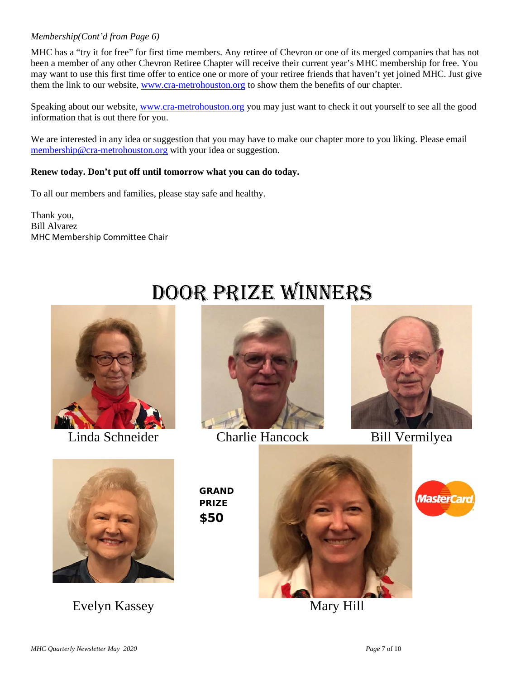#### *Membership(Cont'd from Page 6)*

MHC has a "try it for free" for first time members. Any retiree of Chevron or one of its merged companies that has not been a member of any other Chevron Retiree Chapter will receive their current year's MHC membership for free. You may want to use this first time offer to entice one or more of your retiree friends that haven't yet joined MHC. Just give them the link to our website, [www.cra-metrohouston.org](http://www.cra-metrohouston.org/) to show them the benefits of our chapter.

Speaking about our website, [www.cra-metrohouston.org](http://www.cra-metrohouston.org/) you may just want to check it out yourself to see all the good information that is out there for you.

We are interested in any idea or suggestion that you may have to make our chapter more to you liking. Please email [membership@cra-metrohouston.org](mailto:membership@cra-metrohouston.org) with your idea or suggestion.

#### **Renew today. Don't put off until tomorrow what you can do today.**

To all our members and families, please stay safe and healthy.

Thank you, Bill Alvarez MHC Membership Committee Chair





Door Prize Winners

Linda Schneider Charlie Hancock Bill Vermilyea





Evelyn Kassey Mary Hill

GRAND PRIZE \$50



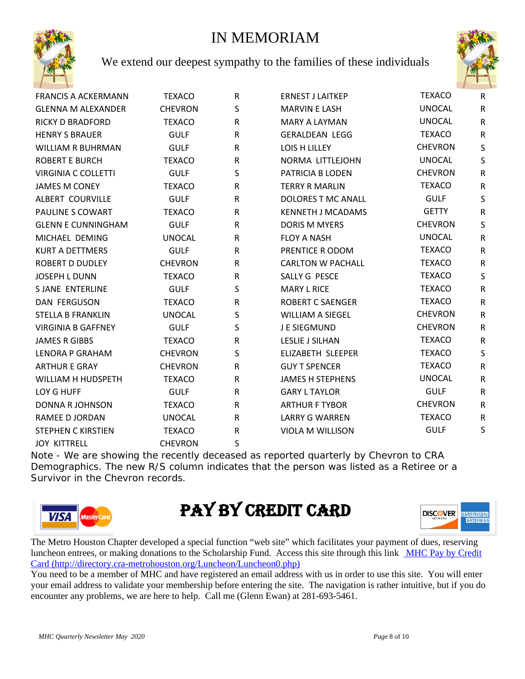### IN MEMORIAM



We extend our deepest sympathy to the families of these individuals



| <b>FRANCIS A ACKERMANN</b> | <b>TEXACO</b>  | $\mathsf R$ | <b>ERNEST J LAITKEP</b>   | <b>TEXACO</b>  | $\mathsf{R}$ |
|----------------------------|----------------|-------------|---------------------------|----------------|--------------|
| <b>GLENNA M ALEXANDER</b>  | <b>CHEVRON</b> | S           | <b>MARVIN E LASH</b>      | <b>UNOCAL</b>  | $\mathsf{R}$ |
| <b>RICKY D BRADFORD</b>    | <b>TEXACO</b>  | R           | <b>MARY A LAYMAN</b>      | <b>UNOCAL</b>  | $\mathsf{R}$ |
| <b>HENRY S BRAUER</b>      | <b>GULF</b>    | ${\sf R}$   | <b>GERALDEAN LEGG</b>     | <b>TEXACO</b>  | $\mathsf R$  |
| <b>WILLIAM R BUHRMAN</b>   | <b>GULF</b>    | ${\sf R}$   | LOIS H LILLEY             | <b>CHEVRON</b> | S            |
| <b>ROBERT E BURCH</b>      | <b>TEXACO</b>  | ${\sf R}$   | NORMA LITTLEJOHN          | <b>UNOCAL</b>  | S            |
| <b>VIRGINIA C COLLETTI</b> | <b>GULF</b>    | S           | PATRICIA B LODEN          | <b>CHEVRON</b> | ${\sf R}$    |
| <b>JAMES M CONEY</b>       | <b>TEXACO</b>  | R           | <b>TERRY R MARLIN</b>     | <b>TEXACO</b>  | ${\sf R}$    |
| ALBERT COURVILLE           | <b>GULF</b>    | R           | <b>DOLORES T MC ANALL</b> | <b>GULF</b>    | $\mathsf{S}$ |
| PAULINE S COWART           | <b>TEXACO</b>  | R           | <b>KENNETH J MCADAMS</b>  | <b>GETTY</b>   | $\mathsf{R}$ |
| <b>GLENN E CUNNINGHAM</b>  | <b>GULF</b>    | R           | <b>DORIS M MYERS</b>      | <b>CHEVRON</b> | S            |
| MICHAEL DEMING             | <b>UNOCAL</b>  | R           | <b>FLOY A NASH</b>        | <b>UNOCAL</b>  | ${\sf R}$    |
| <b>KURT A DETTMERS</b>     | <b>GULF</b>    | R           | PRENTICE R ODOM           | <b>TEXACO</b>  | ${\sf R}$    |
| <b>ROBERT D DUDLEY</b>     | <b>CHEVRON</b> | R           | <b>CARLTON W PACHALL</b>  | <b>TEXACO</b>  | ${\sf R}$    |
| <b>JOSEPH L DUNN</b>       | <b>TEXACO</b>  | ${\sf R}$   | SALLY G PESCE             | <b>TEXACO</b>  | $\mathsf S$  |
| <b>SJANE ENTERLINE</b>     | <b>GULF</b>    | S           | <b>MARY L RICE</b>        | <b>TEXACO</b>  | ${\sf R}$    |
| <b>DAN FERGUSON</b>        | <b>TEXACO</b>  | ${\sf R}$   | <b>ROBERT C SAENGER</b>   | <b>TEXACO</b>  | ${\sf R}$    |
| <b>STELLA B FRANKLIN</b>   | <b>UNOCAL</b>  | S           | <b>WILLIAM A SIEGEL</b>   | <b>CHEVRON</b> | R            |
| <b>VIRGINIA B GAFFNEY</b>  | <b>GULF</b>    | S           | J E SIEGMUND              | <b>CHEVRON</b> | ${\sf R}$    |
| <b>JAMES R GIBBS</b>       | <b>TEXACO</b>  | ${\sf R}$   | <b>LESLIE J SILHAN</b>    | <b>TEXACO</b>  | ${\sf R}$    |
| LENORA P GRAHAM            | <b>CHEVRON</b> | S           | ELIZABETH SLEEPER         | <b>TEXACO</b>  | S            |
| <b>ARTHUR E GRAY</b>       | <b>CHEVRON</b> | ${\sf R}$   | <b>GUY T SPENCER</b>      | <b>TEXACO</b>  | ${\sf R}$    |
| WILLIAM H HUDSPETH         | <b>TEXACO</b>  | ${\sf R}$   | <b>JAMES H STEPHENS</b>   | <b>UNOCAL</b>  | ${\sf R}$    |
| LOY G HUFF                 | <b>GULF</b>    | R           | <b>GARY L TAYLOR</b>      | <b>GULF</b>    | $\mathsf{R}$ |
| <b>DONNA R JOHNSON</b>     | <b>TEXACO</b>  | R           | <b>ARTHUR F TYBOR</b>     | <b>CHEVRON</b> | ${\sf R}$    |
| RAMEE D JORDAN             | <b>UNOCAL</b>  | R           | <b>LARRY G WARREN</b>     | <b>TEXACO</b>  | ${\sf R}$    |
| <b>STEPHEN C KIRSTIEN</b>  | <b>TEXACO</b>  | R           | <b>VIOLA M WILLISON</b>   | <b>GULF</b>    | S            |
| <b>JOY KITTRELL</b>        | <b>CHEVRON</b> | S           |                           |                |              |

Note - We are showing the recently deceased as reported quarterly by Chevron to CRA Demographics. The new R/S column indicates that the person was listed as a Retiree or a Survivor in the Chevron records.



# PAY BY CREDIT CARD



The Metro Houston Chapter developed a special function "web site" which facilitates your payment of dues, reserving luncheon entrees, or making donations to the Scholarship Fund. Access this site through this link [MHC Pay by Credit](http://directory.cra-metrohouston.org/Luncheon/Luncheon0.php)  [Card](http://directory.cra-metrohouston.org/Luncheon/Luncheon0.php) (http://directory.cra-metrohouston.org/Luncheon/Luncheon0.php)

You need to be a member of MHC and have registered an email address with us in order to use this site. You will enter your email address to validate your membership before entering the site. The navigation is rather intuitive, but if you do encounter any problems, we are here to help. Call me (Glenn Ewan) at 281-693-5461.